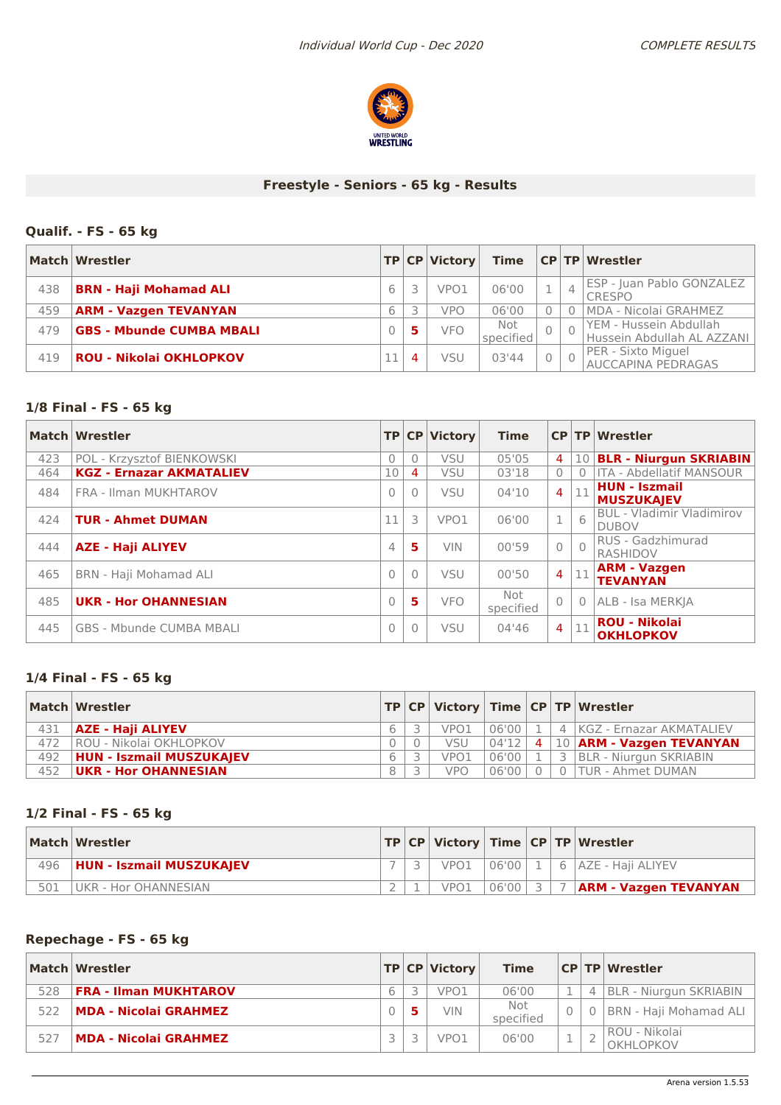

# **Freestyle - Seniors - 65 kg - Results**

# **Qualif. - FS - 65 kg**

|     | Match   Wrestler                |   |          | TP CP Victory    | <b>Time</b>      |                | <b>CP TP Wrestler</b>                                |
|-----|---------------------------------|---|----------|------------------|------------------|----------------|------------------------------------------------------|
| 438 | <b>BRN - Haji Mohamad ALI</b>   | 6 |          | VPO <sub>1</sub> | 06'00            | $\overline{4}$ | ESP - Juan Pablo GONZALEZ<br><b>CRESPO</b>           |
| 459 | <b>ARM - Vazgen TEVANYAN</b>    |   |          | vpo              | 06'00            |                | MDA - Nicolai GRAHMEZ                                |
| 479 | <b>GBS - Mbunde CUMBA MBALI</b> |   |          | <b>VFO</b>       | Not<br>specified |                | YEM - Hussein Abdullah<br>Hussein Abdullah AL AZZANI |
| 419 | <b>ROU - Nikolai OKHLOPKOV</b>  |   | $\Delta$ | VSU              | 03'44            |                | PER - Sixto Miguel<br><b>AUCCAPINA PEDRAGAS</b>      |

#### **1/8 Final - FS - 65 kg**

|     | Match Wrestler                  |                |          | TP CP Victory | <b>Time</b>      |                |           | $CP$ TP Wrestler                                 |
|-----|---------------------------------|----------------|----------|---------------|------------------|----------------|-----------|--------------------------------------------------|
| 423 | POL - Krzysztof BIENKOWSKI      | $\Omega$       | $\Omega$ | VSU           | 05'05            | $\overline{4}$ |           | 10 BLR - Niurgun SKRIABIN                        |
| 464 | <b>KGZ - Ernazar AKMATALIEV</b> | 10             | 4        | <b>VSU</b>    | 03'18            | $\mathbf{0}$   |           | <b>ITA - Abdellatif MANSOUR</b>                  |
| 484 | FRA - Ilman MUKHTAROV           | $\bigcap$      | $\Omega$ | <b>VSU</b>    | 04'10            | $\overline{4}$ | 11        | <b>HUN - Iszmail</b><br><b>MUSZUKAJEV</b>        |
| 424 | <b>TUR - Ahmet DUMAN</b>        | 11             | 3        | VPO1          | 06'00            | $\mathbf{1}$   | 6         | <b>BUL - Vladimir Vladimirov</b><br><b>DUBOV</b> |
| 444 | <b>AZE - Haji ALIYEV</b>        | $\overline{4}$ | 5        | <b>VIN</b>    | 00'59            | $\bigcirc$     | $\bigcap$ | RUS - Gadzhimurad<br><b>RASHIDOV</b>             |
| 465 | BRN - Haji Mohamad ALI          | $\bigcap$      | $\Omega$ | <b>VSU</b>    | 00'50            | $\overline{4}$ | 11        | <b>ARM - Vazgen</b><br><b>TEVANYAN</b>           |
| 485 | <b>UKR - Hor OHANNESIAN</b>     | $\bigcap$      | 5        | <b>VFO</b>    | Not<br>specified | $\bigcap$      | $\Omega$  | ALB - Isa MERKJA                                 |
| 445 | GBS - Mbunde CUMBA MBALI        | $\Omega$       | $\Omega$ | <b>VSU</b>    | 04'46            | $\overline{4}$ | 11        | <b>ROU - Nikolai</b><br><b>OKHLOPKOV</b>         |

#### **1/4 Final - FS - 65 kg**

|     | Match Wrestler                  |  |            |       |  | $ TP CP $ Victory $ Time CP TP $ Wrestler |
|-----|---------------------------------|--|------------|-------|--|-------------------------------------------|
| 431 | AZE - Haji ALIYEV               |  | VPO1       | 06'00 |  | 4 KGZ - Ernazar AKMATALIEV                |
| 472 | ROU - Nikolai OKHLOPKOV         |  | <b>VSU</b> | 04'12 |  | 4   10   ARM - Vazgen TEVANYAN            |
| 492 | <b>HUN - Iszmail MUSZUKAIEV</b> |  | VPO1       | 06'00 |  | 3 BLR - Niurgun SKRIABIN                  |
| 452 | <b>UKR - Hor OHANNESIAN</b>     |  | <b>VPO</b> | 06'00 |  | 0 TUR - Ahmet DUMAN                       |

# **1/2 Final - FS - 65 kg**

|     | Match Wrestler                 |  |                  |           |  | $ TP CP $ Victory $ Time CP TP $ Wrestler |
|-----|--------------------------------|--|------------------|-----------|--|-------------------------------------------|
|     | 496   HUN - Iszmail MUSZUKAJEV |  | VPO1             |           |  | 06'00   1   6   AZE - Haii ALIYEV         |
| 501 | <b>I UKR - Hor OHANNESIAN</b>  |  | VPO <sub>1</sub> | $06'00$ 3 |  | 7   ARM - Vazgen TEVANYAN                 |

### **Repechage - FS - 65 kg**

|     | Match Wrestler               |  | TP CP Victory    | <b>Time</b>      |  | <b>CP TP Wrestler</b>      |
|-----|------------------------------|--|------------------|------------------|--|----------------------------|
| 528 | <b>FRA - Ilman MUKHTAROV</b> |  | VPO1             | 06'00            |  | BLR - Niurgun SKRIABIN     |
| 522 | MDA - Nicolai GRAHMEZ        |  | <b>VIN</b>       | Not<br>specified |  | 0   BRN - Haji Mohamad ALI |
| 527 | <b>MDA - Nicolai GRAHMEZ</b> |  | VPO <sub>1</sub> | 06'00            |  | ROU - Nikolai<br>OKHLOPKOV |